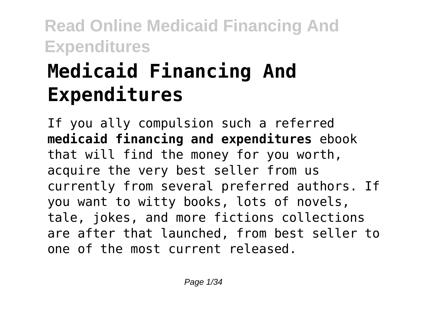# **Medicaid Financing And Expenditures**

If you ally compulsion such a referred **medicaid financing and expenditures** ebook that will find the money for you worth, acquire the very best seller from us currently from several preferred authors. If you want to witty books, lots of novels, tale, jokes, and more fictions collections are after that launched, from best seller to one of the most current released.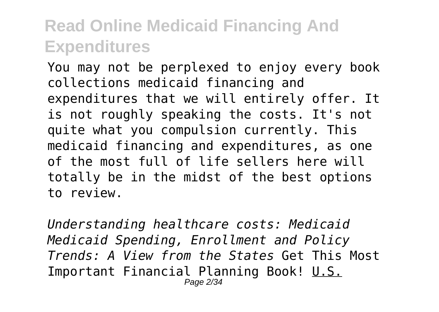You may not be perplexed to enjoy every book collections medicaid financing and expenditures that we will entirely offer. It is not roughly speaking the costs. It's not quite what you compulsion currently. This medicaid financing and expenditures, as one of the most full of life sellers here will totally be in the midst of the best options to review.

*Understanding healthcare costs: Medicaid Medicaid Spending, Enrollment and Policy Trends: A View from the States* Get This Most Important Financial Planning Book! U.S. Page 2/34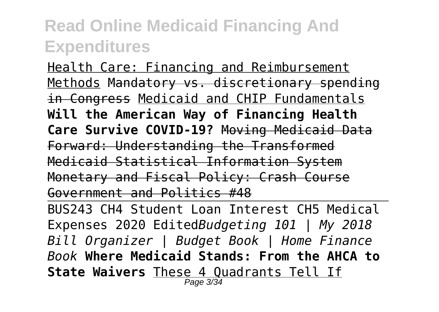Health Care: Financing and Reimbursement Methods Mandatory vs. discretionary spending in Congress Medicaid and CHIP Fundamentals **Will the American Way of Financing Health Care Survive COVID-19?** Moving Medicaid Data Forward: Understanding the Transformed Medicaid Statistical Information System Monetary and Fiscal Policy: Crash Course Government and Politics #48

BUS243 CH4 Student Loan Interest CH5 Medical Expenses 2020 Edited*Budgeting 101 | My 2018 Bill Organizer | Budget Book | Home Finance Book* **Where Medicaid Stands: From the AHCA to State Waivers** These 4 Quadrants Tell If Page 3/34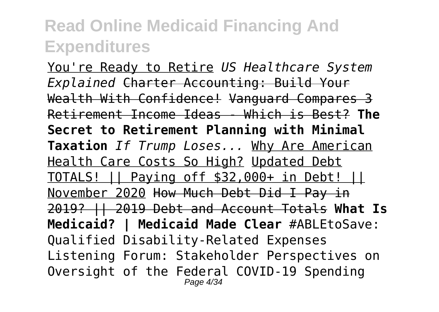You're Ready to Retire *US Healthcare System Explained* Charter Accounting: Build Your Wealth With Confidence! Vanguard Compares 3 Retirement Income Ideas - Which is Best? **The Secret to Retirement Planning with Minimal Taxation** *If Trump Loses...* Why Are American Health Care Costs So High? Updated Debt TOTALS! || Paying off \$32,000+ in Debt! || November 2020 How Much Debt Did I Pay in 2019? || 2019 Debt and Account Totals **What Is Medicaid? | Medicaid Made Clear** #ABLEtoSave: Qualified Disability-Related Expenses Listening Forum: Stakeholder Perspectives on Oversight of the Federal COVID-19 Spending Page 4/34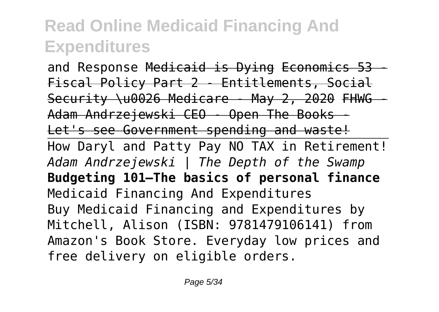and Response Medicaid is Dying Economics 53 - Fiscal Policy Part 2 - Entitlements, Social Security \u0026 Medicare - May 2, 2020 FHWG -Adam Andrzejewski CEO - Open The Books - Let's see Government spending and waste! How Daryl and Patty Pay NO TAX in Retirement! *Adam Andrzejewski | The Depth of the Swamp* **Budgeting 101—The basics of personal finance** Medicaid Financing And Expenditures Buy Medicaid Financing and Expenditures by Mitchell, Alison (ISBN: 9781479106141) from Amazon's Book Store. Everyday low prices and free delivery on eligible orders.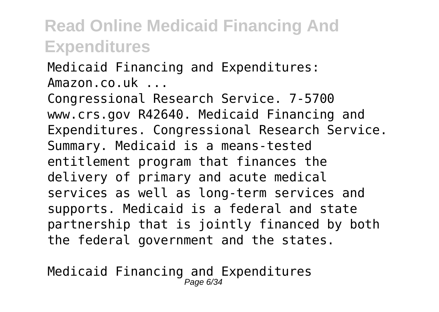Medicaid Financing and Expenditures: Amazon.co.uk ...

Congressional Research Service. 7-5700 www.crs.gov R42640. Medicaid Financing and Expenditures. Congressional Research Service. Summary. Medicaid is a means-tested entitlement program that finances the delivery of primary and acute medical services as well as long-term services and supports. Medicaid is a federal and state partnership that is jointly financed by both the federal government and the states.

Medicaid Financing and Expenditures Page 6/34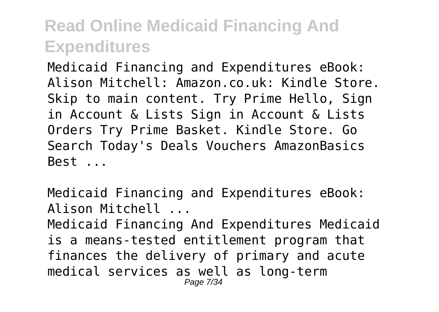Medicaid Financing and Expenditures eBook: Alison Mitchell: Amazon.co.uk: Kindle Store. Skip to main content. Try Prime Hello, Sign in Account & Lists Sign in Account & Lists Orders Try Prime Basket. Kindle Store. Go Search Today's Deals Vouchers AmazonBasics Best ...

Medicaid Financing and Expenditures eBook: Alison Mitchell ...

Medicaid Financing And Expenditures Medicaid is a means-tested entitlement program that finances the delivery of primary and acute medical services as well as long-term Page 7/34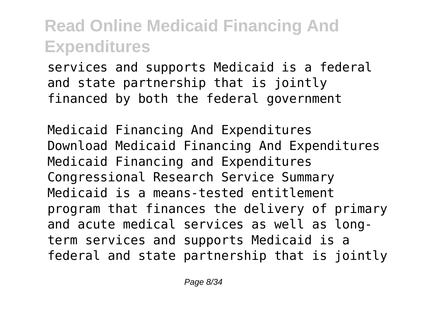services and supports Medicaid is a federal and state partnership that is jointly financed by both the federal government

Medicaid Financing And Expenditures Download Medicaid Financing And Expenditures Medicaid Financing and Expenditures Congressional Research Service Summary Medicaid is a means-tested entitlement program that finances the delivery of primary and acute medical services as well as longterm services and supports Medicaid is a federal and state partnership that is jointly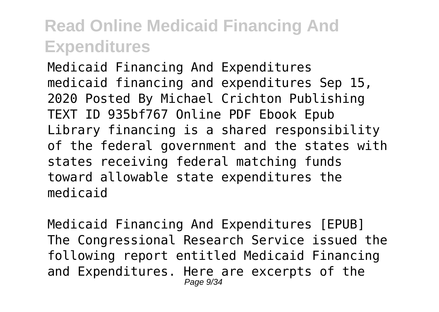Medicaid Financing And Expenditures medicaid financing and expenditures Sep 15, 2020 Posted By Michael Crichton Publishing TEXT ID 935bf767 Online PDF Ebook Epub Library financing is a shared responsibility of the federal government and the states with states receiving federal matching funds toward allowable state expenditures the medicaid

Medicaid Financing And Expenditures [EPUB] The Congressional Research Service issued the following report entitled Medicaid Financing and Expenditures. Here are excerpts of the Page 9/34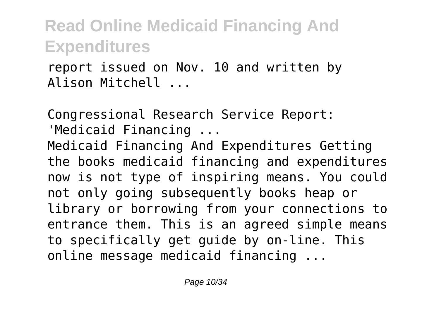report issued on Nov. 10 and written by Alison Mitchell ...

Congressional Research Service Report:

'Medicaid Financing ...

Medicaid Financing And Expenditures Getting the books medicaid financing and expenditures now is not type of inspiring means. You could not only going subsequently books heap or library or borrowing from your connections to entrance them. This is an agreed simple means to specifically get guide by on-line. This online message medicaid financing ...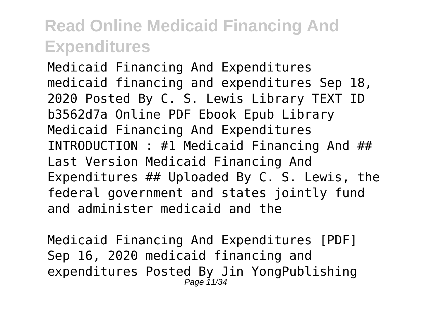Medicaid Financing And Expenditures medicaid financing and expenditures Sep 18, 2020 Posted By C. S. Lewis Library TEXT ID b3562d7a Online PDF Ebook Epub Library Medicaid Financing And Expenditures INTRODUCTION : #1 Medicaid Financing And ## Last Version Medicaid Financing And Expenditures ## Uploaded By C. S. Lewis, the federal government and states jointly fund and administer medicaid and the

Medicaid Financing And Expenditures [PDF] Sep 16, 2020 medicaid financing and expenditures Posted By Jin YongPublishing Page 11/34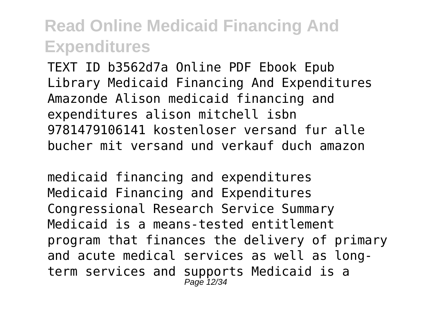TEXT ID b3562d7a Online PDF Ebook Epub Library Medicaid Financing And Expenditures Amazonde Alison medicaid financing and expenditures alison mitchell isbn 9781479106141 kostenloser versand fur alle bucher mit versand und verkauf duch amazon

medicaid financing and expenditures Medicaid Financing and Expenditures Congressional Research Service Summary Medicaid is a means-tested entitlement program that finances the delivery of primary and acute medical services as well as longterm services and supports Medicaid is a Page 12/3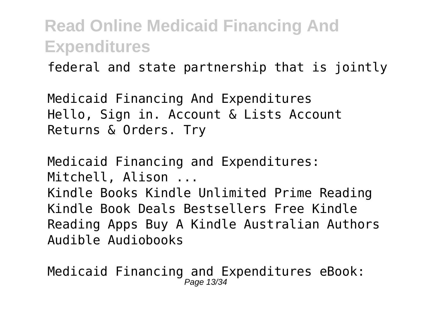federal and state partnership that is jointly

Medicaid Financing And Expenditures Hello, Sign in. Account & Lists Account Returns & Orders. Try

Medicaid Financing and Expenditures: Mitchell, Alison ...

Kindle Books Kindle Unlimited Prime Reading Kindle Book Deals Bestsellers Free Kindle Reading Apps Buy A Kindle Australian Authors Audible Audiobooks

Medicaid Financing and Expenditures eBook: Page 13/3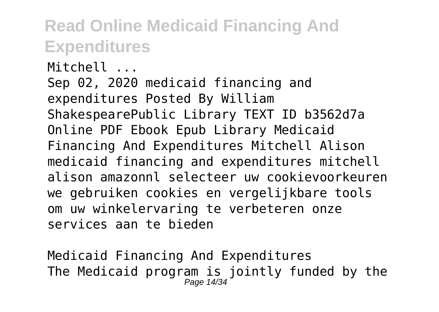Mitchell ... Sep 02, 2020 medicaid financing and expenditures Posted By William ShakespearePublic Library TEXT ID b3562d7a Online PDF Ebook Epub Library Medicaid Financing And Expenditures Mitchell Alison medicaid financing and expenditures mitchell alison amazonnl selecteer uw cookievoorkeuren we gebruiken cookies en vergelijkbare tools om uw winkelervaring te verbeteren onze services aan te bieden

Medicaid Financing And Expenditures The Medicaid program is jointly funded by the Page 14/34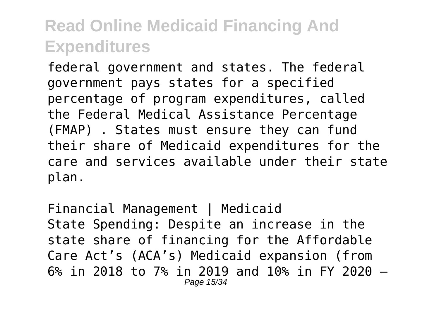federal government and states. The federal government pays states for a specified percentage of program expenditures, called the Federal Medical Assistance Percentage (FMAP) . States must ensure they can fund their share of Medicaid expenditures for the care and services available under their state plan.

Financial Management | Medicaid State Spending: Despite an increase in the state share of financing for the Affordable Care Act's (ACA's) Medicaid expansion (from 6% in 2018 to 7% in 2019 and 10% in FY 2020 – Page 15/34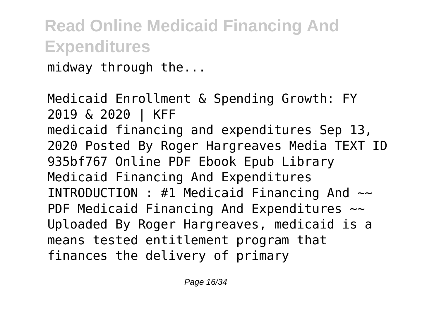midway through the...

Medicaid Enrollment & Spending Growth: FY 2019 & 2020 | KFF medicaid financing and expenditures Sep 13, 2020 Posted By Roger Hargreaves Media TEXT ID 935bf767 Online PDF Ebook Epub Library Medicaid Financing And Expenditures INTRODUCTION : #1 Medicaid Financing And  $\sim$ PDF Medicaid Financing And Expenditures  $\sim$ Uploaded By Roger Hargreaves, medicaid is a means tested entitlement program that finances the delivery of primary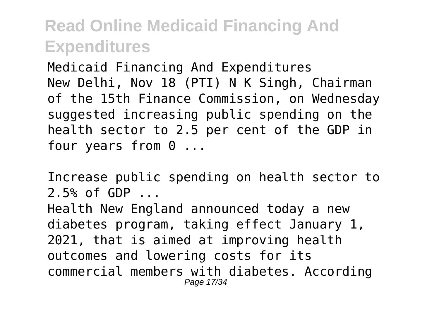Medicaid Financing And Expenditures New Delhi, Nov 18 (PTI) N K Singh, Chairman of the 15th Finance Commission, on Wednesday suggested increasing public spending on the health sector to 2.5 per cent of the GDP in four years from 0 ...

Increase public spending on health sector to 2.5% of GDP ...

Health New England announced today a new diabetes program, taking effect January 1, 2021, that is aimed at improving health outcomes and lowering costs for its commercial members with diabetes. According Page 17/34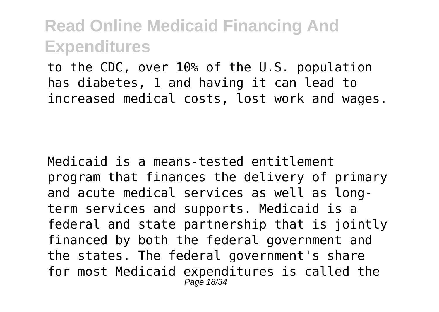to the CDC, over 10% of the U.S. population has diabetes, 1 and having it can lead to increased medical costs, lost work and wages.

Medicaid is a means-tested entitlement program that finances the delivery of primary and acute medical services as well as longterm services and supports. Medicaid is a federal and state partnership that is jointly financed by both the federal government and the states. The federal government's share for most Medicaid expenditures is called the Page 18/34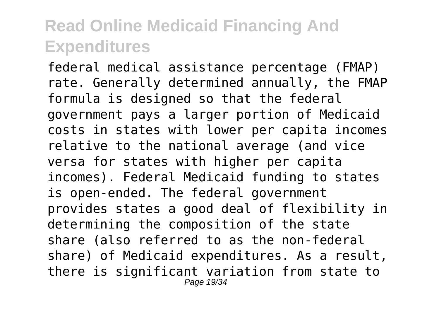federal medical assistance percentage (FMAP) rate. Generally determined annually, the FMAP formula is designed so that the federal government pays a larger portion of Medicaid costs in states with lower per capita incomes relative to the national average (and vice versa for states with higher per capita incomes). Federal Medicaid funding to states is open-ended. The federal government provides states a good deal of flexibility in determining the composition of the state share (also referred to as the non-federal share) of Medicaid expenditures. As a result, there is significant variation from state to Page 19/34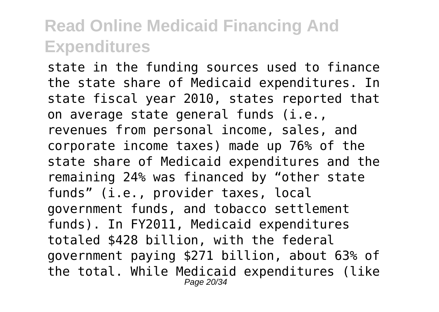state in the funding sources used to finance the state share of Medicaid expenditures. In state fiscal year 2010, states reported that on average state general funds (i.e., revenues from personal income, sales, and corporate income taxes) made up 76% of the state share of Medicaid expenditures and the remaining 24% was financed by "other state funds" (i.e., provider taxes, local government funds, and tobacco settlement funds). In FY2011, Medicaid expenditures totaled \$428 billion, with the federal government paying \$271 billion, about 63% of the total. While Medicaid expenditures (like Page 20/34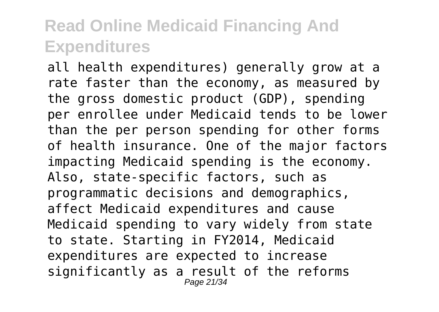all health expenditures) generally grow at a rate faster than the economy, as measured by the gross domestic product (GDP), spending per enrollee under Medicaid tends to be lower than the per person spending for other forms of health insurance. One of the major factors impacting Medicaid spending is the economy. Also, state-specific factors, such as programmatic decisions and demographics, affect Medicaid expenditures and cause Medicaid spending to vary widely from state to state. Starting in FY2014, Medicaid expenditures are expected to increase significantly as a result of the reforms Page 21/34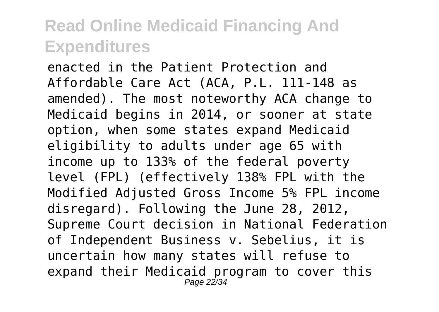enacted in the Patient Protection and Affordable Care Act (ACA, P.L. 111-148 as amended). The most noteworthy ACA change to Medicaid begins in 2014, or sooner at state option, when some states expand Medicaid eligibility to adults under age 65 with income up to 133% of the federal poverty level (FPL) (effectively 138% FPL with the Modified Adjusted Gross Income 5% FPL income disregard). Following the June 28, 2012, Supreme Court decision in National Federation of Independent Business v. Sebelius, it is uncertain how many states will refuse to expand their Medicaid program to cover this Page 22/34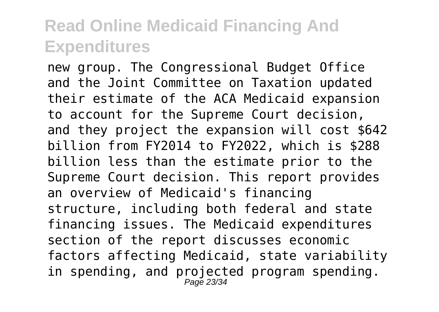new group. The Congressional Budget Office and the Joint Committee on Taxation updated their estimate of the ACA Medicaid expansion to account for the Supreme Court decision, and they project the expansion will cost \$642 billion from FY2014 to FY2022, which is \$288 billion less than the estimate prior to the Supreme Court decision. This report provides an overview of Medicaid's financing structure, including both federal and state financing issues. The Medicaid expenditures section of the report discusses economic factors affecting Medicaid, state variability in spending, and projected program spending. Page 23/34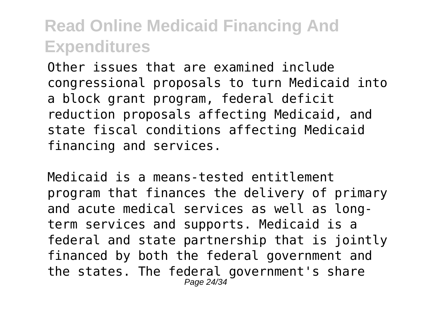Other issues that are examined include congressional proposals to turn Medicaid into a block grant program, federal deficit reduction proposals affecting Medicaid, and state fiscal conditions affecting Medicaid financing and services.

Medicaid is a means-tested entitlement program that finances the delivery of primary and acute medical services as well as longterm services and supports. Medicaid is a federal and state partnership that is jointly financed by both the federal government and the states. The federal government's share Page 24/34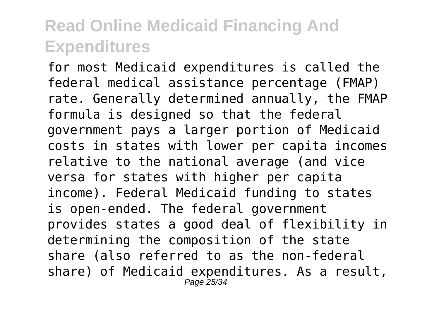for most Medicaid expenditures is called the federal medical assistance percentage (FMAP) rate. Generally determined annually, the FMAP formula is designed so that the federal government pays a larger portion of Medicaid costs in states with lower per capita incomes relative to the national average (and vice versa for states with higher per capita income). Federal Medicaid funding to states is open-ended. The federal government provides states a good deal of flexibility in determining the composition of the state share (also referred to as the non-federal share) of Medicaid expenditures. As a result, Page 25/34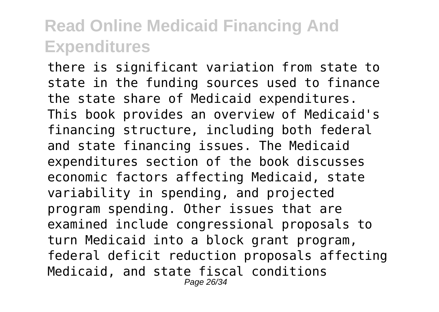there is significant variation from state to state in the funding sources used to finance the state share of Medicaid expenditures. This book provides an overview of Medicaid's financing structure, including both federal and state financing issues. The Medicaid expenditures section of the book discusses economic factors affecting Medicaid, state variability in spending, and projected program spending. Other issues that are examined include congressional proposals to turn Medicaid into a block grant program, federal deficit reduction proposals affecting Medicaid, and state fiscal conditions Page 26/34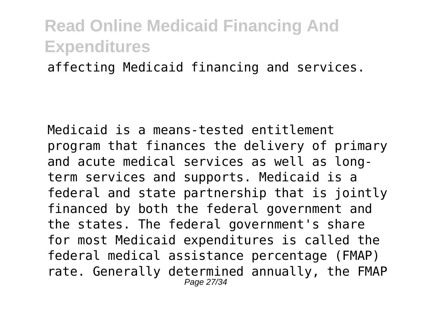affecting Medicaid financing and services.

Medicaid is a means-tested entitlement program that finances the delivery of primary and acute medical services as well as longterm services and supports. Medicaid is a federal and state partnership that is jointly financed by both the federal government and the states. The federal government's share for most Medicaid expenditures is called the federal medical assistance percentage (FMAP) rate. Generally determined annually, the FMAP Page 27/34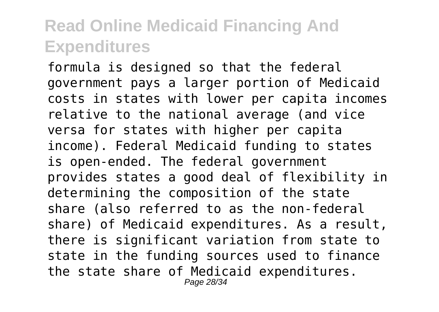formula is designed so that the federal government pays a larger portion of Medicaid costs in states with lower per capita incomes relative to the national average (and vice versa for states with higher per capita income). Federal Medicaid funding to states is open-ended. The federal government provides states a good deal of flexibility in determining the composition of the state share (also referred to as the non-federal share) of Medicaid expenditures. As a result, there is significant variation from state to state in the funding sources used to finance the state share of Medicaid expenditures. Page 28/34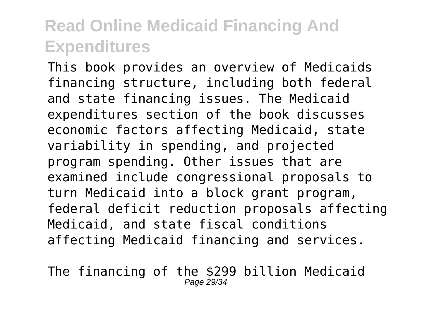This book provides an overview of Medicaids financing structure, including both federal and state financing issues. The Medicaid expenditures section of the book discusses economic factors affecting Medicaid, state variability in spending, and projected program spending. Other issues that are examined include congressional proposals to turn Medicaid into a block grant program, federal deficit reduction proposals affecting Medicaid, and state fiscal conditions affecting Medicaid financing and services.

The financing of the \$299 billion Medicaid Page 29/34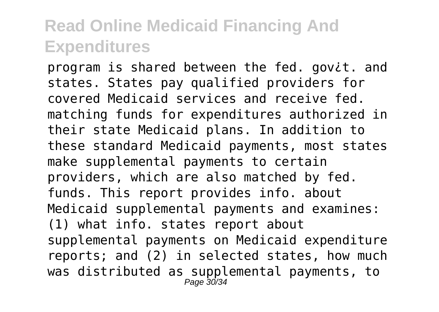program is shared between the fed. gov¿t. and states. States pay qualified providers for covered Medicaid services and receive fed. matching funds for expenditures authorized in their state Medicaid plans. In addition to these standard Medicaid payments, most states make supplemental payments to certain providers, which are also matched by fed. funds. This report provides info. about Medicaid supplemental payments and examines: (1) what info. states report about supplemental payments on Medicaid expenditure reports; and (2) in selected states, how much was distributed as supplemental payments, to Page 30/34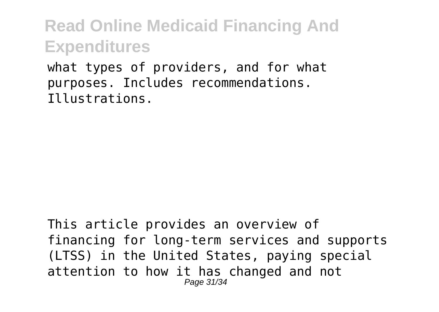what types of providers, and for what purposes. Includes recommendations. Illustrations.

This article provides an overview of financing for long-term services and supports (LTSS) in the United States, paying special attention to how it has changed and not Page 31/34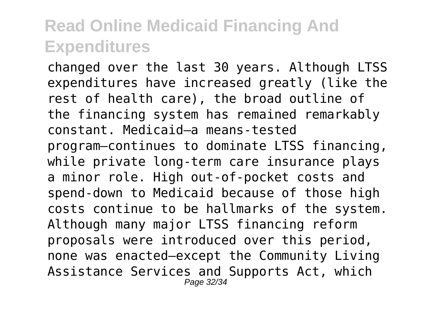changed over the last 30 years. Although LTSS expenditures have increased greatly (like the rest of health care), the broad outline of the financing system has remained remarkably constant. Medicaid—a means-tested program—continues to dominate LTSS financing, while private long-term care insurance plays a minor role. High out-of-pocket costs and spend-down to Medicaid because of those high costs continue to be hallmarks of the system. Although many major LTSS financing reform proposals were introduced over this period, none was enacted—except the Community Living Assistance Services and Supports Act, which Page 32/34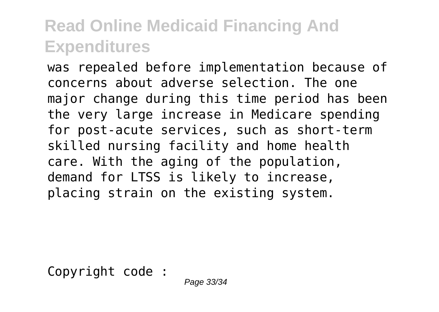was repealed before implementation because of concerns about adverse selection. The one major change during this time period has been the very large increase in Medicare spending for post-acute services, such as short-term skilled nursing facility and home health care. With the aging of the population, demand for LTSS is likely to increase, placing strain on the existing system.

Copyright code :